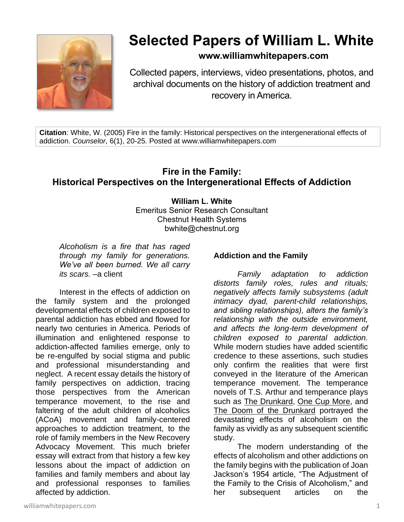

# **Selected Papers of William L. White**

# **www.williamwhitepapers.com**

Collected papers, interviews, video presentations, photos, and archival documents on the history of addiction treatment and recovery in America.

**Citation**: White, W. (2005) Fire in the family: Historical perspectives on the intergenerational effects of addiction. *Counselor*, 6(1), 20-25. Posted at www.williamwhitepapers.com

# **Fire in the Family: Historical Perspectives on the Intergenerational Effects of Addiction**

#### **William L. White**

Emeritus Senior Research Consultant Chestnut Health Systems bwhite@chestnut.org

*Alcoholism is a fire that has raged through my family for generations. We've all been burned. We all carry its scars.* –a client

Interest in the effects of addiction on the family system and the prolonged developmental effects of children exposed to parental addiction has ebbed and flowed for nearly two centuries in America. Periods of illumination and enlightened response to addiction-affected families emerge, only to be re-engulfed by social stigma and public and professional misunderstanding and neglect. A recent essay details the history of family perspectives on addiction, tracing those perspectives from the American temperance movement, to the rise and faltering of the adult children of alcoholics (ACoA) movement and family-centered approaches to addiction treatment, to the role of family members in the New Recovery Advocacy Movement. This much briefer essay will extract from that history a few key lessons about the impact of addiction on families and family members and about lay and professional responses to families affected by addiction.

#### **Addiction and the Family**

*Family adaptation to addiction distorts family roles, rules and rituals; negatively affects family subsystems (adult intimacy dyad, parent-child relationships, and sibling relationships), alters the family's relationship with the outside environment, and affects the long-term development of children exposed to parental addiction.* While modern studies have added scientific credence to these assertions, such studies only confirm the realities that were first conveyed in the literature of the American temperance movement. The temperance novels of T.S. Arthur and temperance plays such as The Drunkard, One Cup More, and The Doom of the Drunkard portrayed the devastating effects of alcoholism on the family as vividly as any subsequent scientific study.

The modern understanding of the effects of alcoholism and other addictions on the family begins with the publication of Joan Jackson's 1954 article, "The Adjustment of the Family to the Crisis of Alcoholism," and her subsequent articles on the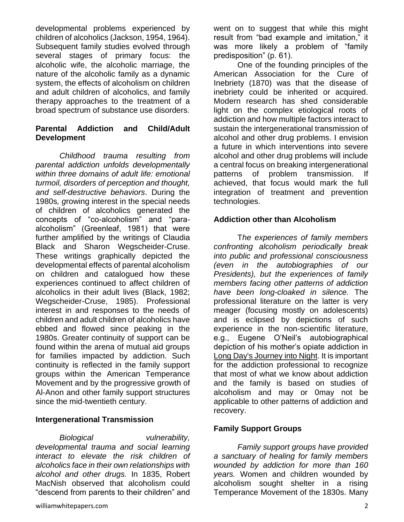developmental problems experienced by children of alcoholics (Jackson, 1954, 1964). Subsequent family studies evolved through several stages of primary focus: the alcoholic wife, the alcoholic marriage, the nature of the alcoholic family as a dynamic system, the effects of alcoholism on children and adult children of alcoholics, and family therapy approaches to the treatment of a broad spectrum of substance use disorders.

#### **Parental Addiction and Child/Adult Development**

*Childhood trauma resulting from parental addiction unfolds developmentally within three domains of adult life: emotional turmoil, disorders of perception and thought, and self-destructive behaviors*. During the 1980s*, g*rowing interest in the special needs of children of alcoholics generated the concepts of "co-alcoholism" and "paraalcoholism" (Greenleaf, 1981) that were further amplified by the writings of Claudia Black and Sharon Wegscheider-Cruse. These writings graphically depicted the developmental effects of parental alcoholism on children and catalogued how these experiences continued to affect children of alcoholics in their adult lives (Black, 1982; Wegscheider-Cruse, 1985). Professional interest in and responses to the needs of children and adult children of alcoholics have ebbed and flowed since peaking in the 1980s. Greater continuity of support can be found within the arena of mutual aid groups for families impacted by addiction. Such continuity is reflected in the family support groups within the American Temperance Movement and by the progressive growth of Al-Anon and other family support structures since the mid-twentieth century.

#### **Intergenerational Transmission**

*Biological vulnerability, developmental trauma and social learning interact to elevate the risk children of alcoholics face in their own relationships with alcohol and other drugs.* In 1835, Robert MacNish observed that alcoholism could "descend from parents to their children" and

One of the founding principles of the American Association for the Cure of Inebriety (1870) was that the disease of inebriety could be inherited or acquired. Modern research has shed considerable light on the complex etiological roots of addiction and how multiple factors interact to sustain the intergenerational transmission of alcohol and other drug problems. I envision a future in which interventions into severe alcohol and other drug problems will include a central focus on breaking intergenerational patterns of problem transmission. If achieved, that focus would mark the full integration of treatment and prevention technologies.

#### **Addiction other than Alcoholism**

T*he experiences of family members confronting alcoholism periodically break into public and professional consciousness (even in the autobiographies of our Presidents), but the experiences of family members facing other patterns of addiction have been long-cloaked in silence.* The professional literature on the latter is very meager (focusing mostly on adolescents) and is eclipsed by depictions of such experience in the non-scientific literature, e.g., Eugene O'Neil's autobiographical depiction of his mother's opiate addiction in Long Day's Journey into Night. It is important for the addiction professional to recognize that most of what we know about addiction and the family is based on studies of alcoholism and may or 0may not be applicable to other patterns of addiction and recovery.

#### **Family Support Groups**

*Family support groups have provided a sanctuary of healing for family members wounded by addiction for more than 160 years.* Women and children wounded by alcoholism sought shelter in a rising Temperance Movement of the 1830s. Many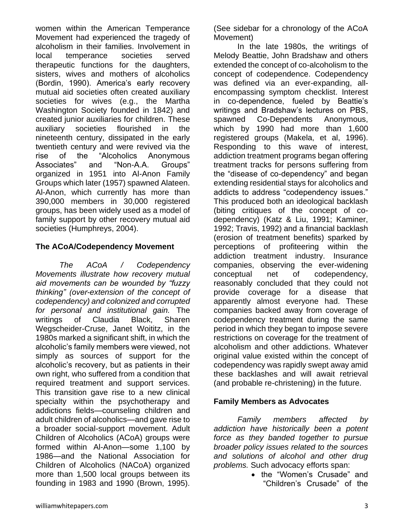women within the American Temperance Movement had experienced the tragedy of alcoholism in their families. Involvement in local temperance societies served therapeutic functions for the daughters, sisters, wives and mothers of alcoholics (Bordin, 1990). America's early recovery mutual aid societies often created auxiliary societies for wives (e.g., the Martha Washington Society founded in 1842) and created junior auxiliaries for children. These auxiliary societies flourished in the nineteenth century, dissipated in the early twentieth century and were revived via the rise of the "Alcoholics Anonymous Associates" and "Non-A.A. Groups" organized in 1951 into Al-Anon Family Groups which later (1957) spawned Alateen. Al-Anon, which currently has more than 390,000 members in 30,000 registered groups, has been widely used as a model of family support by other recovery mutual aid societies (Humphreys, 2004).

#### **The ACoA/Codependency Movement**

*The ACoA / Codependency Movements illustrate how recovery mutual aid movements can be wounded by "fuzzy thinking" (over-extension of the concept of codependency) and colonized and corrupted for personal and institutional gain.* The writings of Claudia Black, Sharen Wegscheider-Cruse, Janet Woititz, in the 1980s marked a significant shift, in which the alcoholic's family members were viewed, not simply as sources of support for the alcoholic's recovery, but as patients in their own right, who suffered from a condition that required treatment and support services. This transition gave rise to a new clinical specialty within the psychotherapy and addictions fields—counseling children and adult children of alcoholics—and gave rise to a broader social-support movement. Adult Children of Alcoholics (ACoA) groups were formed within Al-Anon—some 1,100 by 1986—and the National Association for Children of Alcoholics (NACoA) organized more than 1,500 local groups between its founding in 1983 and 1990 (Brown, 1995).

(See sidebar for a chronology of the ACoA Movement)

In the late 1980s, the writings of Melody Beattie, John Bradshaw and others extended the concept of co-alcoholism to the concept of codependence. Codependency was defined via an ever-expanding, allencompassing symptom checklist. Interest in co-dependence, fueled by Beattie's writings and Bradshaw's lectures on PBS, spawned Co-Dependents Anonymous, which by 1990 had more than 1,600 registered groups (Makela, et al, 1996). Responding to this wave of interest, addiction treatment programs began offering treatment tracks for persons suffering from the "disease of co-dependency" and began extending residential stays for alcoholics and addicts to address "codependency issues." This produced both an ideological backlash (biting critiques of the concept of codependency) (Katz & Liu, 1991; Kaminer, 1992; Travis, 1992) and a financial backlash (erosion of treatment benefits) sparked by perceptions of profiteering within the addiction treatment industry. Insurance companies, observing the ever-widening conceptual net of codependency, reasonably concluded that they could not provide coverage for a disease that apparently almost everyone had. These companies backed away from coverage of codependency treatment during the same period in which they began to impose severe restrictions on coverage for the treatment of alcoholism and other addictions. Whatever original value existed within the concept of codependency was rapidly swept away amid these backlashes and will await retrieval (and probable re-christening) in the future.

## **Family Members as Advocates**

*Family members affected by addiction have historically been a potent force as they banded together to pursue broader policy issues related to the sources and solutions of alcohol and other drug problems.* Such advocacy efforts span:

> • the "Women's Crusade" and "Children's Crusade" of the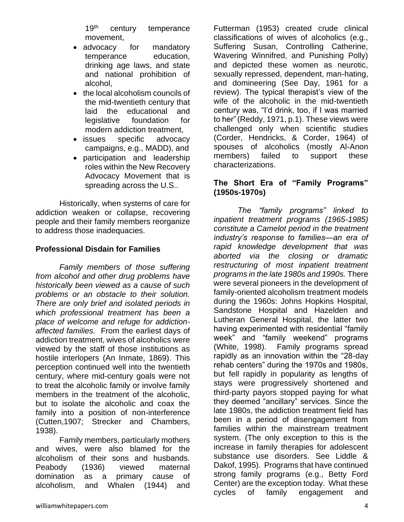19<sup>th</sup> century temperance movement,

- advocacy for mandatory temperance education, drinking age laws, and state and national prohibition of alcohol,
- the local alcoholism councils of the mid-twentieth century that laid the educational and legislative foundation for modern addiction treatment,
- issues specific advocacy campaigns, e.g., MADD), and
- participation and leadership roles within the New Recovery Advocacy Movement that is spreading across the U.S..

Historically, when systems of care for addiction weaken or collapse, recovering people and their family members reorganize to address those inadequacies.

### **Professional Disdain for Families**

*Family members of those suffering from alcohol and other drug problems have historically been viewed as a cause of such problems or an obstacle to their solution. There are only brief and isolated periods in which professional treatment has been a place of welcome and refuge for addictionaffected families.* From the earliest days of addiction treatment, wives of alcoholics were viewed by the staff of those institutions as hostile interlopers (An Inmate, 1869). This perception continued well into the twentieth century, where mid-century goals were not to treat the alcoholic family or involve family members in the treatment of the alcoholic, but to isolate the alcoholic and coax the family into a position of non-interference (Cutten,1907; Strecker and Chambers, 1938).

Family members, particularly mothers and wives, were also blamed for the alcoholism of their sons and husbands. Peabody (1936) viewed maternal domination as a primary cause of alcoholism, and Whalen (1944) and

Futterman (1953) created crude clinical classifications of wives of alcoholics (e.g., Suffering Susan, Controlling Catherine, Wavering Winnifred, and Punishing Polly) and depicted these women as neurotic, sexually repressed, dependent, man-hating, and domineering (See Day, 1961 for a review). The typical therapist's view of the wife of the alcoholic in the mid-twentieth century was, "I'd drink, too, if I was married to her"(Reddy, 1971, p.1). These views were challenged only when scientific studies (Corder, Hendricks, & Corder, 1964) of spouses of alcoholics (mostly Al-Anon members) failed to support these characterizations.

#### **The Short Era of "Family Programs" (1950s-1970s)**

*The "family programs" linked to inpatient treatment programs (1965-1985) constitute a Camelot period in the treatment industry's response to families—an era of rapid knowledge development that was aborted via the closing or dramatic restructuring of most inpatient treatment programs in the late 1980s and 1990s.* There were several pioneers in the development of family-oriented alcoholism treatment models during the 1960s: Johns Hopkins Hospital, Sandstone Hospital and Hazelden and Lutheran General Hospital, the latter two having experimented with residential "family week" and "family weekend" programs (White, 1998). Family programs spread rapidly as an innovation within the "28-day rehab centers" during the 1970s and 1980s, but fell rapidly in popularity as lengths of stays were progressively shortened and third-party payors stopped paying for what they deemed "ancillary" services. Since the late 1980s, the addiction treatment field has been in a period of disengagement from families within the mainstream treatment system. (The only exception to this is the increase in family therapies for adolescent substance use disorders. See Liddle & Dakof, 1995). Programs that have continued strong family programs (e.g., Betty Ford Center) are the exception today. What these cycles of family engagement and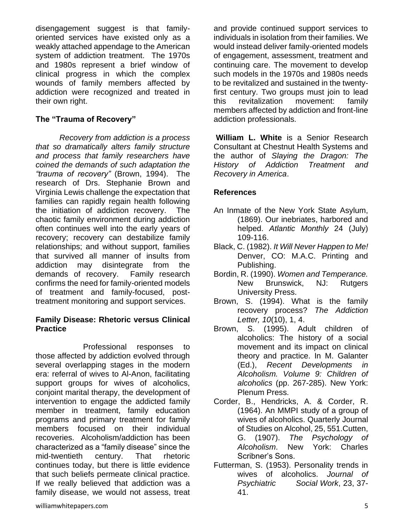disengagement suggest is that familyoriented services have existed only as a weakly attached appendage to the American system of addiction treatment. The 1970s and 1980s represent a brief window of clinical progress in which the complex wounds of family members affected by addiction were recognized and treated in their own right.

#### **The "Trauma of Recovery"**

*Recovery from addiction is a process that so dramatically alters family structure and process that family researchers have coined the demands of such adaptation the "trauma of recovery"* (Brown, 1994). The research of Drs. Stephanie Brown and Virginia Lewis challenge the expectation that families can rapidly regain health following the initiation of addiction recovery. The chaotic family environment during addiction often continues well into the early years of recovery; recovery can destabilize family relationships; and without support, families that survived all manner of insults from addiction may disintegrate from the demands of recovery. Family research confirms the need for family-oriented models of treatment and family-focused, posttreatment monitoring and support services.

#### **Family Disease: Rhetoric versus Clinical Practice**

Professional responses to those affected by addiction evolved through several overlapping stages in the modern era: referral of wives to Al-Anon, facilitating support groups for wives of alcoholics, conjoint marital therapy, the development of intervention to engage the addicted family member in treatment, family education programs and primary treatment for family members focused on their individual recoveries. Alcoholism/addiction has been characterized as a "family disease" since the mid-twentieth century. That rhetoric continues today, but there is little evidence that such beliefs permeate clinical practice. If we really believed that addiction was a family disease, we would not assess, treat and provide continued support services to individuals in isolation from their families. We would instead deliver family-oriented models of engagement, assessment, treatment and continuing care. The movement to develop such models in the 1970s and 1980s needs to be revitalized and sustained in the twentyfirst century. Two groups must join to lead this revitalization movement: family members affected by addiction and front-line addiction professionals.

**William L. White** is a Senior Research Consultant at Chestnut Health Systems and the author of *Slaying the Dragon: The History of Addiction Treatment and Recovery in America*.

## **References**

- An Inmate of the New York State Asylum, (1869). Our inebriates, harbored and helped. *Atlantic Monthly* 24 (July) 109-116.
- Black, C. (1982). *It Will Never Happen to Me!* Denver, CO: M.A.C. Printing and Publishing.
- Bordin, R. (1990). *Women and Temperance.*  New Brunswick, NJ: Rutgers University Press.
- Brown, S. (1994). What is the family recovery process? *The Addiction Letter, 10*(10), 1, 4.
- Brown, S. (1995). Adult children of alcoholics: The history of a social movement and its impact on clinical theory and practice. In M. Galanter (Ed.), *Recent Developments in Alcoholism. Volume 9: Children of alcoholics* (pp. 267-285). New York: Plenum Press.
- Corder, B., Hendricks, A. & Corder, R. (1964). An MMPI study of a group of wives of alcoholics. Quarterly Journal of Studies on Alcohol, 25, 551.Cutten, G. (1907). *The Psychology of Alcoholism*. New York: Charles Scribner's Sons.
- Futterman, S. (1953). Personality trends in wives of alcoholics. *Journal of Psychiatric Social Work*, 23, 37- 41.